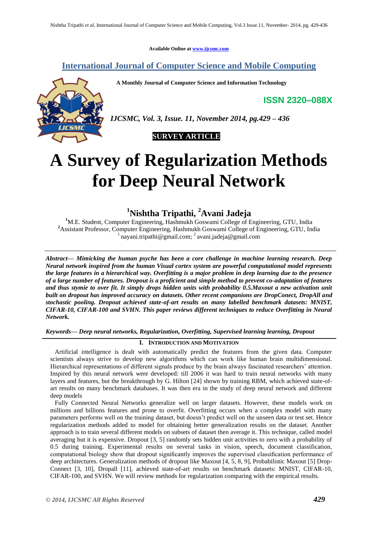**Available Online at [www.ijcsmc.com](http://www.ijcsmc.com/)**

# **International Journal of Computer Science and Mobile Computing**

 **A Monthly Journal of Computer Science and Information Technology**

**ISSN 2320–088X**



*IJCSMC, Vol. 3, Issue. 11, November 2014, pg.429 – 436*

# **SURVEY ARTICLE**

# **A Survey of Regularization Methods for Deep Neural Network**

# **<sup>1</sup>Nishtha Tripathi, <sup>2</sup>Avani Jadeja**

<sup>1</sup>M.E. Student, Computer Engineering, Hashmukh Goswami College of Engineering, GTU, India **<sup>2</sup>**Assistant Professor, Computer Engineering, Hashmukh Goswami College of Engineering, GTU, India  $\frac{1}{1}$ nayani.tripathi@gmail.com;  $\frac{2}{1}$ avani.jadeja@gmail.com

*Abstract— Mimicking the human psyche has been a core challenge in machine learning research. Deep Neural network inspired from the human Visual cortex system are powerful computational model represents the large features in a hierarchical way. Overfitting is a major problem in deep learning due to the presence of a large number of features. Dropout is a proficient and simple method to prevent co-adaptation of features and thus stymie to over fit. It simply drops hidden units with probability 0.5.Maxout a new activation unit built on dropout has improved accuracy on datasets. Other recent companions are DropConect, DropAll and stochastic pooling. Dropout achieved state-of-art results on many labelled benchmark datasets: MNIST, CIFAR-10, CIFAR-100 and SVHN. This paper reviews different techniques to reduce Overfitting in Neural Network.*

*Keywords— Deep neural networks, Regularization, Overfitting, Supervised learning learning, Dropout*

## **I. INTRODUCTION AND MOTIVATION**

Artificial intelligence is dealt with automatically predict the features from the given data. Computer scientists always strive to develop new algorithms which can work like human brain multidimensional. Hierarchical representations of different signals produce by the brain always fascinated researchers' attention. Inspired by this neural network were developed: till 2006 it was hard to train neural networks with many layers and features, but the breakthrough by G. Hilton [24] shown by training RBM, which achieved state-ofart results on many benchmark databases. It was then era in the study of deep neural network and different deep models

Fully Connected Neural Networks generalize well on larger datasets. However, these models work on millions and billions features and prone to overfit. Overfitting occurs when a complex model with many parameters performs well on the training dataset, but doesn't predict well on the unseen data or test set. Hence regularization methods added to model for obtaining better generalization results on the dataset. Another approach is to train several different models on subsets of dataset then average it. This technique, called model averaging but it is expensive. Dropout [3, 5] randomly sets hidden unit activities to zero with a probability of 0.5 during training. Experimental results on several tasks in vision, speech, document classification, computational biology show that dropout significantly improves the supervised classification performance of deep architectures. Generalization methods of dropout like Maxout [4, 5, 8, 9], Probabilistic Maxout [5] Drop-Connect [3, 10], Dropall [11], achieved state-of-art results on benchmark datasets: MNIST, CIFAR-10, CIFAR-100, and SVHN. We will review methods for regularization comparing with the empirical results.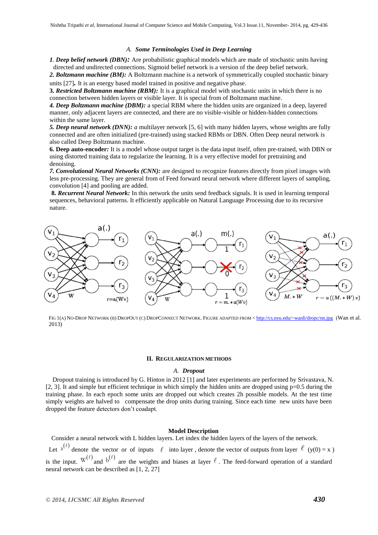#### *A. Some Terminologies Used in Deep Learning*

*1. Deep belief network (DBN):* Are probabilistic graphical models which are made of stochastic units having directed and undirected connections. Sigmoid belief network is a version of the deep belief network.

*2. Boltzmann machine (BM):* A Boltzmann machine is a network of symmetrically coupled stochastic binary units [27]*.* It is an energy based model trained in positive and negative phase.

**3.** *Restricted Boltzmann machine (RBM):* It is a graphical model with stochastic units in which there is no connection between hidden layers or visible layer. It is special from of Boltzmann machine.

*4. Deep Boltzmann machine (DBM):* a special RBM where the hidden units are organized in a deep, layered manner, only adjacent layers are connected, and there are no visible-visible or hidden-hidden connections within the same layer.

*5. Deep neural network (DNN): a* multilayer network [5, 6] with many hidden layers, whose weights are fully connected and are often initialized (pre-trained) using stacked RBMs or DBN. Often Deep neural network is also called Deep Boltzmann machine.

**6. Deep auto-encoder***:* It is a model whose output target is the data input itself, often pre-trained, with DBN or using distorted training data to regularize the learning. It is a very effective model for pretraining and denoising.

*7. Convolutional Neural Networks (CNN):* are designed to recognize features directly from pixel images with less pre-processing. They are general from of Feed forward neural network where different layers of sampling, convolution [4] and pooling are added.

**8.** *Recurrent Neural Network:* In this network the units send feedback signals. It is used in learning temporal sequences, behavioral patterns. It efficiently applicable on Natural Language Processing due to its recursive nature.



FIG 1(A) NO-DROP NETWORK (B) DROPOUT (C) DROPCONNECT NETWORK. FIGURE ADAPTED FROM < <http://cs.nyu.edu/~wanli/dropc/nn.jpg> (Wan et al. 2013)

#### **II. REGULARIZATION METHODS**

#### *A. Dropout*

Dropout training is introduced by G. Hinton in 2012 [1] and later experiments are performed by Srivastava, N. [2, 3]. It and simple but efficient technique in which simply the hidden units are dropped using  $p=0.5$  during the training phase. In each epoch some units are dropped out which creates 2h possible models. At the test time simply weights are halved to compensate the drop units during training. Since each time new units have been dropped the feature detectors don't coadapt.

#### **Model Description**

Consider a neural network with L hidden layers. Let index the hidden layers of the layers of the network. Let  $z^{(\ell)}$  denote the vector or of inputs  $\ell$  into layer, denote the vector of outputs from layer  $\ell$  (y(0) = x) is the input.  $W^{(\ell)}$  and  $b^{(\ell)}$  are the weights and biases at layer  $\ell$ . The feed-forward operation of a standard neural network can be described as [1, 2, 27]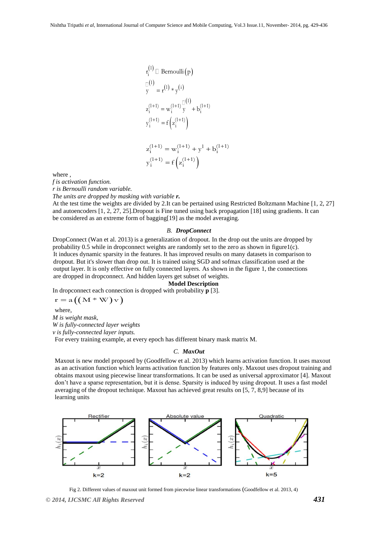$$
r_i^{(1)} \square \text{ Bernoulli}(p)
$$
  
\n
$$
\square^{(1)}
$$
  
\n
$$
y = r^{(1)} * y^{(i)}
$$
  
\n
$$
z_i^{(1+1)} = w_i^{(1+1)} \square^{(1)}
$$
  
\n
$$
y_i^{(1+1)} = f(z_i^{(1+1)})
$$
  
\n
$$
z_i^{(1+1)} = w_i^{(1+1)} + y^1 + b_i^{(1+1)}
$$
  
\n
$$
y_i^{(1+1)} = f(z_i^{(1+1)})
$$

where ,

*f is activation function.*

*r is Bernoulli random variable.*

*The units are dropped by masking with variable r.*

At the test time the weights are divided by 2.It can be pertained using Restricted Boltzmann Machine [1, 2, 27] and autoencoders [1, 2, 27, 25].Dropout is Fine tuned using back propagation [18] using gradients. It can be considered as an extreme form of bagging[19] as the model averaging.

#### *B. DropConnect*

DropConnect (Wan et al. 2013) is a generalization of dropout. In the drop out the units are dropped by probability  $0.5$  while in dropconnect weights are randomly set to the zero as shown in figure1(c). It induces dynamic sparsity in the features. It has improved results on many datasets in comparison to dropout. But it's slower than drop out. It is trained using SGD and sofmax classification used at the output layer. It is only effective on fully connected layers. As shown in the figure 1, the connections are dropped in dropconnect. And hidden layers get subset of weights.

## **Model Description**

In dropconnect each connection is dropped with probability **p** [3].

$$
r = a((M * W) v)
$$

where, *M is weight mask, W is fully-connected layer weights v is fully-connected layer inputs.* For every training example, at every epoch has different binary mask matrix M.

#### *C. MaxOut*

Maxout is new model proposed by (Goodfellow et al. 2013) which learns activation function. It uses maxout as an activation function which learns activation function by features only. Maxout uses dropout training and obtains maxout using piecewise linear transformations. It can be used as universal approximator [4]. Maxout don't have a sparse representation, but it is dense. Sparsity is induced by using dropout. It uses a fast model averaging of the dropout technique. Maxout has achieved great results on [5, 7, 8,9] because of its learning units



Fig 2. Different values of maxout unit formed from piecewise linear transformations (Goodfellow et al. 2013, 4)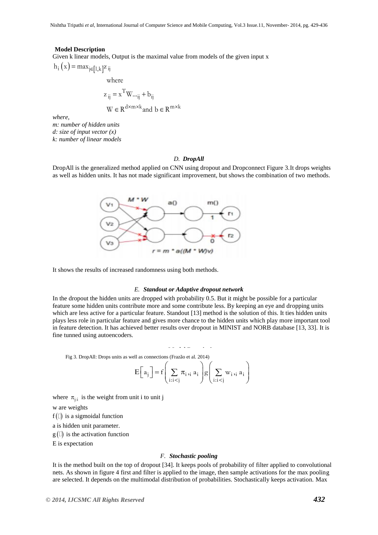#### **Model Description**

Given k linear models, Output is the maximal value from models of the given input x  $h_i(x) = max_{j \in [1, k]^{\mathbb{Z}} i j}$ 

$$
h_i(x) = \max_{j \in [1, k]^Z} i_j
$$
  
where

$$
z_{ij} = x^{T}W..._{ij} + b_{ij}
$$
  
W \in R<sup>d \times m \times k</sup> and b \in R<sup>m \times k</sup>

*where,*

*m: number of hidden units d: size of input vector (x) k: number of linear models*

#### *D. DropAll*

DropAll is the generalized method applied on CNN using dropout and Dropconnect Figure 3.It drops weights as well as hidden units. It has not made significant improvement, but shows the combination of two methods.



It shows the results of increased randomness using both methods.

#### *E. Standout or Adaptive dropout network*

In the dropout the hidden units are dropped with probability 0.5. But it might be possible for a particular feature some hidden units contribute more and some contribute less. By keeping an eye and dropping units which are less active for a particular feature. Standout [13] method is the solution of this. It ties hidden units plays less role in particular feature and gives more chance to the hidden units which play more important tool in feature detection. It has achieved better results over dropout in MINIST and NORB database [13, 33]. It is fine tunned using autoencoders.

Fig 3. DropAll: Drops units as well as connections (Frazão et al. 2014)  
\n
$$
E\left[a_j\right] = f\left(\sum_{i:i
$$

where  $\pi_{j:i}$  is the weight from unit i to unit j

w are weights

 $f(\Box)$  is a sigmoidal function

a is hidden unit parameter.

 $g(\mathbb{I})$  is the activation function

E is expectation

#### *F. Stochastic pooling*

It is the method built on the top of dropout [34]. It keeps pools of probability of filter applied to convolutional nets. As shown in figure 4 first and filter is applied to the image, then sample activations for the max pooling are selected. It depends on the multimodal distribution of probabilities. Stochastically keeps activation. Max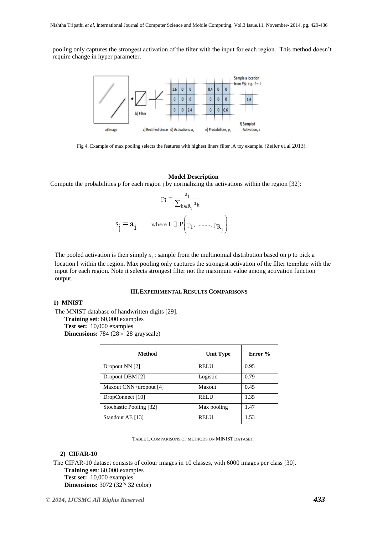pooling only captures the strongest activation of the filter with the input for each region. This method doesn't require change in hyper parameter.



Fig 4. Example of max pooling selects the features with highest liners filter .A toy example. (Zeiler et.al 2013).

#### **Model Description**

Compute the probabilities p for each region j by normalizing the activations within the region [32]:

$$
p_i = \frac{a_i}{\sum_{k \in R_j} a_k}
$$
  
\n
$$
s_j = a_j \qquad \text{where } l \perp P(p_1, \dots, p_{R_j})
$$

The pooled activation is then simply  $a_i$ : sample from the multinomial distribution based on p to pick a location l within the region. Max pooling only captures the strongest activation of the filter template with the input for each region. Note it selects strongest filter not the maximum value among activation function output.

#### **III.EXPERIMENTAL RESULTS COMPARISONS**

## **1) MNIST**

The MNIST database of handwritten digits [29]. **Training set**: 60,000 examples **Test set:** 10,000 examples

**Dimensions:** 784 (28 x 28 grayscale)

| Method                  | Unit Type   | Error $\%$ |
|-------------------------|-------------|------------|
| Dropout NN [2]          | <b>RELU</b> | 0.95       |
| Dropout DBM [2]         | Logistic    | 0.79       |
| Maxout CNN+dropout [4]  | Maxout      | 0.45       |
| DropConnect [10]        | <b>RELU</b> | 1.35       |
| Stochastic Pooling [32] | Max pooling | 1.47       |
| Standout AE [13]        | <b>RELU</b> | 1.53       |

TABLE I. COMPARISONS OF METHODS ON MINIST DATASET

#### **2) CIFAR-10**

The CIFAR-10 dataset consists of colour images in 10 classes, with 6000 images per class [30]. **Training set**: 60,000 examples **Test set:** 10,000 examples

**Dimensions:**  $3072 (32 \times 32 \text{ color})$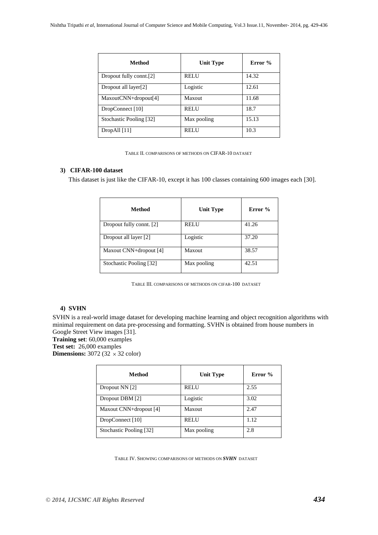| Method                  | <b>Unit Type</b> | Error % |
|-------------------------|------------------|---------|
| Dropout fully connt.[2] | <b>RELU</b>      | 14.32   |
| Dropout all layer[2]    | Logistic         | 12.61   |
| MaxoutCNN+dropout[4]    | Maxout           | 11.68   |
| DropConnect [10]        | <b>RELU</b>      | 18.7    |
| Stochastic Pooling [32] | Max pooling      | 15.13   |
| DropAll [11]            | <b>RELU</b>      | 10.3    |

TABLE II. COMPARISONS OF METHODS ON CIFAR-10 DATASET

# **3) CIFAR-100 dataset**

This dataset is just like the CIFAR-10, except it has 100 classes containing 600 images each [30].

| Method                   | Unit Type   | Error % |
|--------------------------|-------------|---------|
| Dropout fully connt. [2] | <b>RELU</b> | 41.26   |
| Dropout all layer [2]    | Logistic    | 37.20   |
| Maxout CNN+dropout [4]   | Maxout      | 38.57   |
| Stochastic Pooling [32]  | Max pooling | 42.51   |

TABLE III. COMPARISONS OF METHODS ON CIFAR-100 DATASET

## **4) SVHN**

SVHN is a real-world image dataset for developing machine learning and object recognition algorithms with minimal requirement on data pre-processing and formatting. SVHN is obtained from house numbers in Google Street View images [31].

**Training set**: 60,000 examples

**Test set:** 26,000 examples

**Dimensions:**  $3072 (32 \times 32 \text{ color})$ 

| Method                  | Unit Type     | Error % |
|-------------------------|---------------|---------|
| Dropout NN [2]          | <b>RELU</b>   | 2.55    |
| Dropout DBM [2]         | Logistic      | 3.02    |
| Maxout CNN+dropout [4]  | <b>Maxout</b> | 2.47    |
| DropConnect [10]        | <b>RELU</b>   | 1.12    |
| Stochastic Pooling [32] | Max pooling   | 2.8     |

TABLE IV. SHOWING COMPARISONS OF METHODS ON *SVHN* DATASET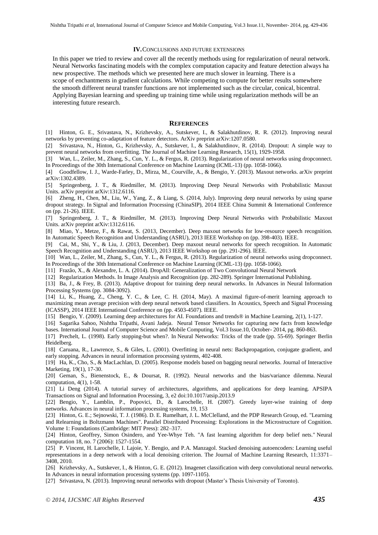#### **IV.**CONCLUSIONS AND FUTURE EXTENSIONS

In this paper we tried to review and cover all the recently methods using for regularization of neural network. Neural Networks fascinating models with the complex computation capacity and feature detection always ha new prospective. The methods which we presented here are much slower in learning. There is a scope of enchantments in gradient calculations. While competing to compute for better results somewhere the smooth different neural transfer functions are not implemented such as the circular, conical, bicentral. Applying Bayesian learning and speeding up training time while using regularization methods will be an interesting future research.

#### **REFERENCES**

[1] Hinton, G. E., Srivastava, N., Krizhevsky, A., Sutskever, I., & Salakhutdinov, R. R. (2012). Improving neural networks by preventing co-adaptation of feature detectors. ArXiv preprint arXiv:1207.0580.

[2] Srivastava, N., Hinton, G., Krizhevsky, A., Sutskever, I., & Salakhutdinov, R. (2014). Dropout: A simple way to prevent neural networks from overfitting. The Journal of Machine Learning Research, 15(1), 1929-1958.

[3] Wan, L., Zeiler, M., Zhang, S., Cun, Y. L., & Fergus, R. (2013). Regularization of neural networks using dropconnect. In Proceedings of the 30th International Conference on Machine Learning (ICML-13) (pp. 1058-1066).

[4] Goodfellow, I. J., Warde-Farley, D., Mirza, M., Courville, A., & Bengio, Y. (2013). Maxout networks. arXiv preprint arXiv:1302.4389.

[5] Springenberg, J. T., & Riedmiller, M. (2013). Improving Deep Neural Networks with Probabilistic Maxout Units. arXiv preprint arXiv:1312.6116.

[6] Zheng, H., Chen, M., Liu, W., Yang, Z., & Liang, S. (2014, July). Improving deep neural networks by using sparse dropout strategy. In Signal and Information Processing (ChinaSIP), 2014 IEEE China Summit & International Conference on (pp. 21-26). IEEE.

[7] Springenberg, J. T., & Riedmiller, M. (2013). Improving Deep Neural Networks with Probabilistic Maxout Units. arXiv preprint arXiv:1312.6116.

[8] Miao, Y., Metze, F., & Rawat, S. (2013, December). Deep maxout networks for low-resource speech recognition. In Automatic Speech Recognition and Understanding (ASRU), 2013 IEEE Workshop on (pp. 398-403). IEEE.

[9] Cai, M., Shi, Y., & Liu, J. (2013, December). Deep maxout neural networks for speech recognition. In Automatic Speech Recognition and Understanding (ASRU), 2013 IEEE Workshop on (pp. 291-296). IEEE.

[10] Wan, L., Zeiler, M., Zhang, S., Cun, Y. L., & Fergus, R. (2013). Regularization of neural networks using dropconnect. In Proceedings of the 30th International Conference on Machine Learning (ICML-13) (pp. 1058-1066).

[11] Frazão, X., & Alexandre, L. A. (2014). DropAll: Generalization of Two Convolutional Neural Network

[12] Regularization Methods. In Image Analysis and Recognition (pp. 282-289). Springer International Publishing.

[13] Ba, J., & Frey, B. (2013). Adaptive dropout for training deep neural networks. In Advances in Neural Information Processing Systems (pp. 3084-3092).

[14] Li, K., Huang, Z., Cheng, Y. C., & Lee, C. H. (2014, May). A maximal figure-of-merit learning approach to maximizing mean average precision with deep neural network based classifiers. In Acoustics, Speech and Signal Processing (ICASSP), 2014 IEEE International Conference on (pp. 4503-4507). IEEE.

[15] Bengio, Y. (2009). Learning deep architectures for AI. Foundations and trends® in Machine Learning, 2(1), 1-127.

[16] Sagarika Sahoo, Nishtha Tripathi, Avani Jadeja. Neural Tensor Networks for capturing new facts from knowledge bases. International Journal of Computer Science and Mobile Computing, Vol.3 Issue.10, October- 2014, pg. 860-863.

[17] Prechelt, L. (1998). Early stopping-but when?. In Neural Networks: Tricks of the trade (pp. 55-69). Springer Berlin Heidelberg.

[18] Caruana, R., Lawrence, S., & Giles, L. (2001). Overfitting in neural nets: Backpropagation, conjugate gradient, and early stopping. Advances in neural information processing systems, 402-408.

[19] Ha, K., Cho, S., & MacLachlan, D. (2005). Response models based on bagging neural networks. Journal of Interactive Marketing, 19(1), 17-30.

[20] Geman, S., Bienenstock, E., & Doursat, R. (1992). Neural networks and the bias/variance dilemma. Neural computation, 4(1), 1-58.

[21] Li Deng (2014). A tutorial survey of architectures, algorithms, and applications for deep learning. APSIPA Transactions on Signal and Information Processing, 3, e2 doi:10.1017/atsip.2013.9

[22] Bengio, Y., Lamblin, P., Popovici, D., & Larochelle, H. (2007). Greedy layer-wise training of deep networks. Advances in neural information processing systems, 19, 153

[23] [Hinton, G. E.;](http://en.wikipedia.org/wiki/Geoffrey_Hinton) [Sejnowski,](http://en.wikipedia.org/wiki/Terry_Sejnowski) T. J. (1986). D. E. Rumelhart, J. L. McClelland, and the PDP Research Group, ed. ["Learning](http://learning.cs.toronto.edu/~hinton/absps/pdp7.pdf)  [and Relearning in Boltzmann Machines".](http://learning.cs.toronto.edu/~hinton/absps/pdp7.pdf) Parallel Distributed Processing: Explorations in the Microstructure of Cognition. Volume 1: Foundations (Cambridge: MIT Press): 282–317.

[24] Hinton, Geoffrey, Simon Osindero, and Yee-Whye Teh. "A fast learning algorithm for deep belief nets." Neural computation 18, no. 7 (2006): 1527-1554.

[25] P. Vincent, H. Larochelle, I. Lajoie, Y. Bengio, and P.A. Manzagol. Stacked denoising autoencoders: Learning useful representations in a deep network with a local denoising criterion. The Journal of Machine Learning Research, 11:3371– 3408, 2010.

[26] Krizhevsky, A., Sutskever, I., & Hinton, G. E. (2012). Imagenet classification with deep convolutional neural networks. In Advances in neural information processing systems (pp. 1097-1105).

[27] Srivastava, N. (2013). Improving neural networks with dropout (Master's Thesis University of Toronto).